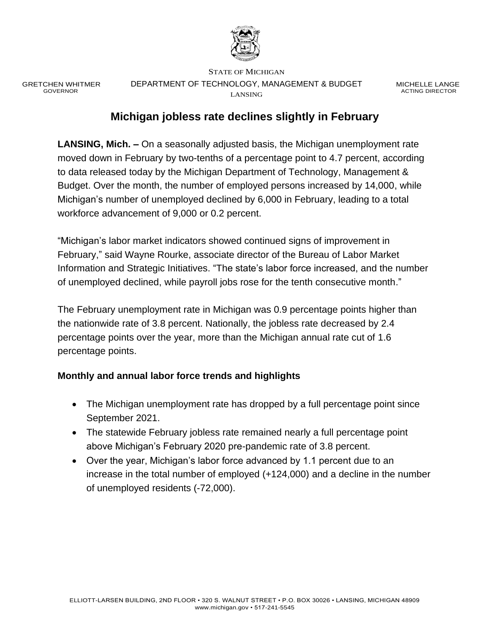

GRETCHEN WHITMER GOVERNOR

STATE OF MICHIGAN DEPARTMENT OF TECHNOLOGY, MANAGEMENT & BUDGET LANSING

MICHELLE LANGE ACTING DIRECTOR

## **Michigan jobless rate declines slightly in February**

**LANSING, Mich. –** On a seasonally adjusted basis, the Michigan unemployment rate moved down in February by two-tenths of a percentage point to 4.7 percent, according to data released today by the Michigan Department of Technology, Management & Budget. Over the month, the number of employed persons increased by 14,000, while Michigan's number of unemployed declined by 6,000 in February, leading to a total workforce advancement of 9,000 or 0.2 percent.

"Michigan's labor market indicators showed continued signs of improvement in February," said Wayne Rourke, associate director of the Bureau of Labor Market Information and Strategic Initiatives. "The state's labor force increased, and the number of unemployed declined, while payroll jobs rose for the tenth consecutive month."

The February unemployment rate in Michigan was 0.9 percentage points higher than the nationwide rate of 3.8 percent. Nationally, the jobless rate decreased by 2.4 percentage points over the year, more than the Michigan annual rate cut of 1.6 percentage points.

#### **Monthly and annual labor force trends and highlights**

- The Michigan unemployment rate has dropped by a full percentage point since September 2021.
- The statewide February jobless rate remained nearly a full percentage point above Michigan's February 2020 pre-pandemic rate of 3.8 percent.
- Over the year, Michigan's labor force advanced by 1.1 percent due to an increase in the total number of employed (+124,000) and a decline in the number of unemployed residents (-72,000).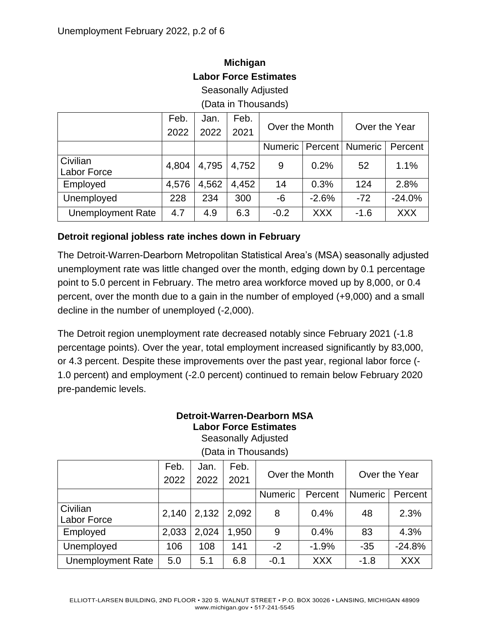# **Michigan Labor Force Estimates**

Seasonally Adjusted

(Data in Thousands)

|                                | Feb.<br>2022 | Jan.<br>2022 | Feb.<br>2021 | Over the Month |            | Over the Year            |            |
|--------------------------------|--------------|--------------|--------------|----------------|------------|--------------------------|------------|
|                                |              |              |              | <b>Numeric</b> |            | <b>Percent   Numeric</b> | Percent    |
| Civilian<br><b>Labor Force</b> | 4,804        | 4,795        | 4,752        | 9              | 0.2%       | 52                       | 1.1%       |
| Employed                       | 4,576        | 4,562        | 4,452        | 14             | 0.3%       | 124                      | 2.8%       |
| Unemployed                     | 228          | 234          | 300          | $-6$           | $-2.6%$    | $-72$                    | $-24.0%$   |
| <b>Unemployment Rate</b>       | 4.7          | 4.9          | 6.3          | $-0.2$         | <b>XXX</b> | $-1.6$                   | <b>XXX</b> |

#### **Detroit regional jobless rate inches down in February**

The Detroit-Warren-Dearborn Metropolitan Statistical Area's (MSA) seasonally adjusted unemployment rate was little changed over the month, edging down by 0.1 percentage point to 5.0 percent in February. The metro area workforce moved up by 8,000, or 0.4 percent, over the month due to a gain in the number of employed (+9,000) and a small decline in the number of unemployed (-2,000).

The Detroit region unemployment rate decreased notably since February 2021 (-1.8 percentage points). Over the year, total employment increased significantly by 83,000, or 4.3 percent. Despite these improvements over the past year, regional labor force (- 1.0 percent) and employment (-2.0 percent) continued to remain below February 2020 pre-pandemic levels.

### **Detroit-Warren-Dearborn MSA Labor Force Estimates**

Seasonally Adjusted

|                          | Feb.  | Jan.  | Feb.  |                |            |                |            |
|--------------------------|-------|-------|-------|----------------|------------|----------------|------------|
|                          | 2022  | 2022  | 2021  | Over the Month |            | Over the Year  |            |
|                          |       |       |       | <b>Numeric</b> | Percent    | <b>Numeric</b> | Percent    |
| Civilian<br>Labor Force  | 2,140 | 2,132 | 2,092 | 8              | 0.4%       | 48             | 2.3%       |
| Employed                 | 2,033 | 2,024 | 1,950 | 9              | 0.4%       | 83             | 4.3%       |
| Unemployed               | 106   | 108   | 141   | $-2$           | $-1.9%$    | $-35$          | $-24.8%$   |
| <b>Unemployment Rate</b> | 5.0   | 5.1   | 6.8   | $-0.1$         | <b>XXX</b> | $-1.8$         | <b>XXX</b> |

(Data in Thousands)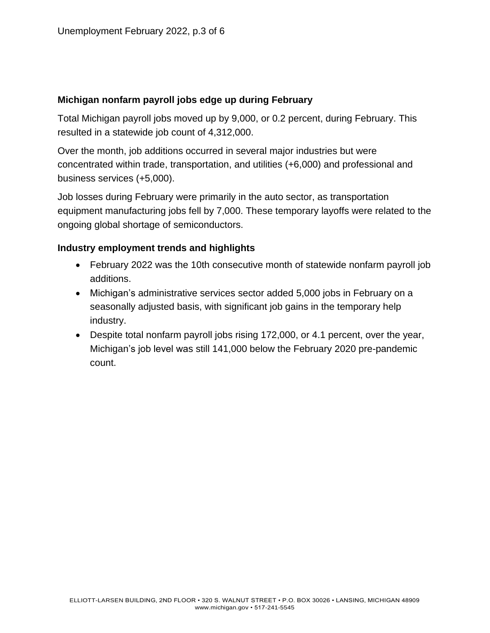#### **Michigan nonfarm payroll jobs edge up during February**

Total Michigan payroll jobs moved up by 9,000, or 0.2 percent, during February. This resulted in a statewide job count of 4,312,000.

Over the month, job additions occurred in several major industries but were concentrated within trade, transportation, and utilities (+6,000) and professional and business services (+5,000).

Job losses during February were primarily in the auto sector, as transportation equipment manufacturing jobs fell by 7,000. These temporary layoffs were related to the ongoing global shortage of semiconductors.

#### **Industry employment trends and highlights**

- February 2022 was the 10th consecutive month of statewide nonfarm payroll job additions.
- Michigan's administrative services sector added 5,000 jobs in February on a seasonally adjusted basis, with significant job gains in the temporary help industry.
- Despite total nonfarm payroll jobs rising 172,000, or 4.1 percent, over the year, Michigan's job level was still 141,000 below the February 2020 pre-pandemic count.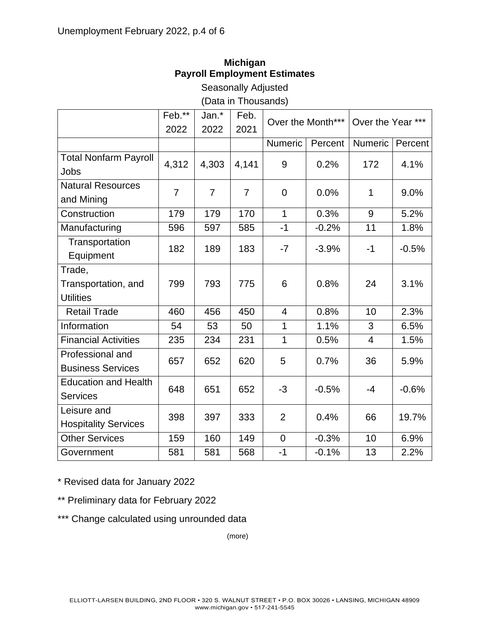## **Michigan Payroll Employment Estimates**

Seasonally Adjusted (Data in Thousands)

|                              | Feb.**         | Jan.*          | Feb.           | Over the Month*** |         | Over the Year ***       |         |
|------------------------------|----------------|----------------|----------------|-------------------|---------|-------------------------|---------|
|                              | 2022           | 2022           | 2021           |                   |         |                         |         |
|                              |                |                |                | Numeric           | Percent | Numeric                 | Percent |
| <b>Total Nonfarm Payroll</b> | 4,312          | 4,303          | 4,141          | 9                 | 0.2%    | 172                     | 4.1%    |
| Jobs                         |                |                |                |                   |         |                         |         |
| <b>Natural Resources</b>     | $\overline{7}$ | $\overline{7}$ | $\overline{7}$ | $\mathbf 0$       | 0.0%    | $\mathbf{1}$            | 9.0%    |
| and Mining                   |                |                |                |                   |         |                         |         |
| Construction                 | 179            | 179            | 170            | $\mathbf{1}$      | 0.3%    | 9                       | 5.2%    |
| Manufacturing                | 596            | 597            | 585            | $-1$              | $-0.2%$ | 11                      | 1.8%    |
| Transportation               | 182            | 189            | 183            | $-7$              | $-3.9%$ | $-1$                    | $-0.5%$ |
| Equipment                    |                |                |                |                   |         |                         |         |
| Trade,                       |                |                |                |                   |         |                         |         |
| Transportation, and          | 799            | 793            | 775            | 6                 | 0.8%    | 24                      | 3.1%    |
| <b>Utilities</b>             |                |                |                |                   |         |                         |         |
| <b>Retail Trade</b>          | 460            | 456            | 450            | $\overline{4}$    | 0.8%    | 10                      | 2.3%    |
| Information                  | 54             | 53             | 50             | $\mathbf{1}$      | 1.1%    | 3                       | 6.5%    |
| <b>Financial Activities</b>  | 235            | 234            | 231            | $\mathbf{1}$      | 0.5%    | $\overline{\mathbf{4}}$ | 1.5%    |
| Professional and             | 657            | 652            | 620            | 5                 | 0.7%    | 36                      | 5.9%    |
| <b>Business Services</b>     |                |                |                |                   |         |                         |         |
| <b>Education and Health</b>  | 648            | 651            | 652            | $-3$              | $-0.5%$ | $-4$                    | $-0.6%$ |
| <b>Services</b>              |                |                |                |                   |         |                         |         |
| Leisure and                  | 398            | 397            | 333            | $\overline{2}$    | 0.4%    | 66                      | 19.7%   |
| <b>Hospitality Services</b>  |                |                |                |                   |         |                         |         |
| <b>Other Services</b>        | 159            | 160            | 149            | $\overline{0}$    | $-0.3%$ | 10                      | 6.9%    |
| Government                   | 581            | 581            | 568            | $-1$              | $-0.1%$ | 13                      | 2.2%    |

\* Revised data for January 2022

\*\* Preliminary data for February 2022

\*\*\* Change calculated using unrounded data

(more)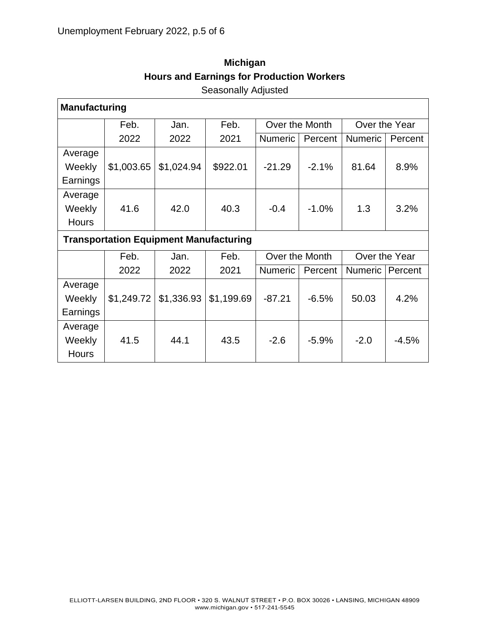| <b>Manufacturing</b>                          |            |            |            |                |         |                |         |  |  |
|-----------------------------------------------|------------|------------|------------|----------------|---------|----------------|---------|--|--|
|                                               | Feb.       | Jan.       | Feb.       | Over the Month |         | Over the Year  |         |  |  |
|                                               | 2022       | 2022       | 2021       | <b>Numeric</b> | Percent | <b>Numeric</b> | Percent |  |  |
| Average                                       |            |            |            |                |         |                |         |  |  |
| Weekly                                        | \$1,003.65 | \$1,024.94 | \$922.01   | $-21.29$       | $-2.1%$ | 81.64          | 8.9%    |  |  |
| Earnings                                      |            |            |            |                |         |                |         |  |  |
| Average                                       |            |            |            |                |         |                |         |  |  |
| Weekly                                        | 41.6       | 42.0       | 40.3       | $-0.4$         | $-1.0%$ | 1.3            | 3.2%    |  |  |
| <b>Hours</b>                                  |            |            |            |                |         |                |         |  |  |
| <b>Transportation Equipment Manufacturing</b> |            |            |            |                |         |                |         |  |  |
|                                               |            |            |            |                |         |                |         |  |  |
|                                               | Feb.       | Jan.       | Feb.       | Over the Month |         | Over the Year  |         |  |  |
|                                               | 2022       | 2022       | 2021       | <b>Numeric</b> | Percent | Numeric        | Percent |  |  |
| Average                                       |            |            |            |                |         |                |         |  |  |
| Weekly                                        | \$1,249.72 | \$1,336.93 | \$1,199.69 | $-87.21$       | $-6.5%$ | 50.03          | 4.2%    |  |  |
| Earnings                                      |            |            |            |                |         |                |         |  |  |
| Average                                       |            |            |            |                |         |                |         |  |  |
| Weekly                                        | 41.5       | 44.1       | 43.5       | $-2.6$         | $-5.9%$ | $-2.0$         | $-4.5%$ |  |  |

# **Michigan Hours and Earnings for Production Workers** Seasonally Adjusted